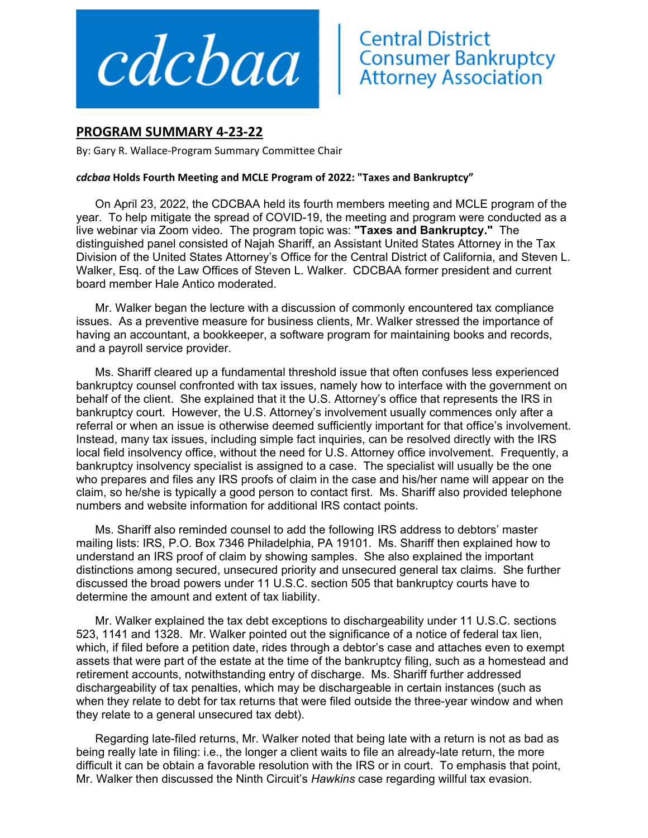

## **PROGRAM SUMMARY 4‐23‐22**

By: Gary R. Wallace‐Program Summary Committee Chair

## *cdcbaa* **Holds Fourth Meeting and MCLE Program of 2022: "Taxes and Bankruptcy"**

On April 23, 2022, the CDCBAA held its fourth members meeting and MCLE program of the year. To help mitigate the spread of COVID-19, the meeting and program were conducted as a live webinar via Zoom video. The program topic was: **"Taxes and Bankruptcy."** The distinguished panel consisted of Najah Shariff, an Assistant United States Attorney in the Tax Division of the United States Attorney's Office for the Central District of California, and Steven L. Walker, Esq. of the Law Offices of Steven L. Walker. CDCBAA former president and current board member Hale Antico moderated.

Mr. Walker began the lecture with a discussion of commonly encountered tax compliance issues. As a preventive measure for business clients, Mr. Walker stressed the importance of having an accountant, a bookkeeper, a software program for maintaining books and records, and a payroll service provider.

Ms. Shariff cleared up a fundamental threshold issue that often confuses less experienced bankruptcy counsel confronted with tax issues, namely how to interface with the government on behalf of the client. She explained that it the U.S. Attorney's office that represents the IRS in bankruptcy court. However, the U.S. Attorney's involvement usually commences only after a referral or when an issue is otherwise deemed sufficiently important for that office's involvement. Instead, many tax issues, including simple fact inquiries, can be resolved directly with the IRS local field insolvency office, without the need for U.S. Attorney office involvement. Frequently, a bankruptcy insolvency specialist is assigned to a case. The specialist will usually be the one who prepares and files any IRS proofs of claim in the case and his/her name will appear on the claim, so he/she is typically a good person to contact first. Ms. Shariff also provided telephone numbers and website information for additional IRS contact points.

Ms. Shariff also reminded counsel to add the following IRS address to debtors' master mailing lists: IRS, P.O. Box 7346 Philadelphia, PA 19101. Ms. Shariff then explained how to understand an IRS proof of claim by showing samples. She also explained the important distinctions among secured, unsecured priority and unsecured general tax claims. She further discussed the broad powers under 11 U.S.C. section 505 that bankruptcy courts have to determine the amount and extent of tax liability.

Mr. Walker explained the tax debt exceptions to dischargeability under 11 U.S.C. sections 523, 1141 and 1328. Mr. Walker pointed out the significance of a notice of federal tax lien, which, if filed before a petition date, rides through a debtor's case and attaches even to exempt assets that were part of the estate at the time of the bankruptcy filing, such as a homestead and retirement accounts, notwithstanding entry of discharge. Ms. Shariff further addressed dischargeability of tax penalties, which may be dischargeable in certain instances (such as when they relate to debt for tax returns that were filed outside the three-year window and when they relate to a general unsecured tax debt).

Regarding late-filed returns, Mr. Walker noted that being late with a return is not as bad as being really late in filing: i.e., the longer a client waits to file an already-late return, the more difficult it can be obtain a favorable resolution with the IRS or in court. To emphasis that point, Mr. Walker then discussed the Ninth Circuit's *Hawkins* case regarding willful tax evasion.